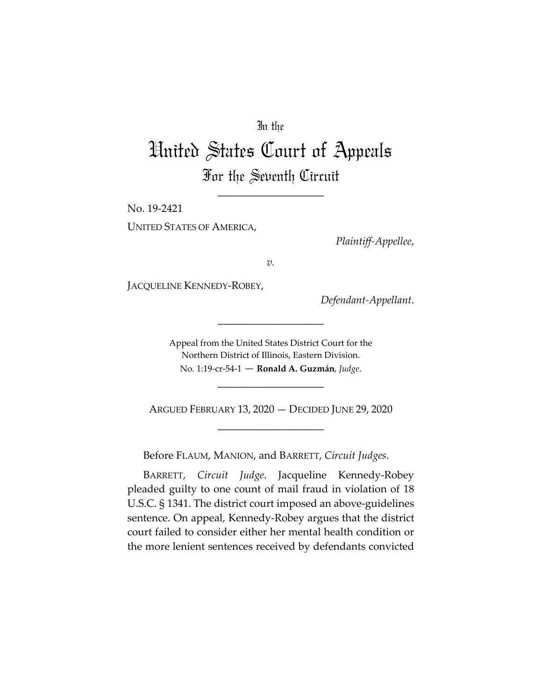## In the

# United States Court of Appeals For the Seventh Circuit

\_\_\_\_\_\_\_\_\_\_\_\_\_\_\_\_\_\_\_\_

No. 19-2421

UNITED STATES OF AMERICA,

*Plaintiff-Appellee*,

*v.*

JACQUELINE KENNEDY-ROBEY,

*Defendant-Appellant*.

Appeal from the United States District Court for the Northern District of Illinois, Eastern Division. No. 1:19-cr-54-1 — **Ronald A. Guzmán**, *Judge*.

\_\_\_\_\_\_\_\_\_\_\_\_\_\_\_\_\_\_\_\_

ARGUED FEBRUARY 13, 2020 — DECIDED JUNE 29, 2020 \_\_\_\_\_\_\_\_\_\_\_\_\_\_\_\_\_\_\_\_

\_\_\_\_\_\_\_\_\_\_\_\_\_\_\_\_\_\_\_\_

Before FLAUM, MANION, and BARRETT, *Circuit Judges*.

BARRETT, *Circuit Judge*. Jacqueline Kennedy-Robey pleaded guilty to one count of mail fraud in violation of 18 U.S.C. § 1341. The district court imposed an above-guidelines sentence. On appeal, Kennedy-Robey argues that the district court failed to consider either her mental health condition or the more lenient sentences received by defendants convicted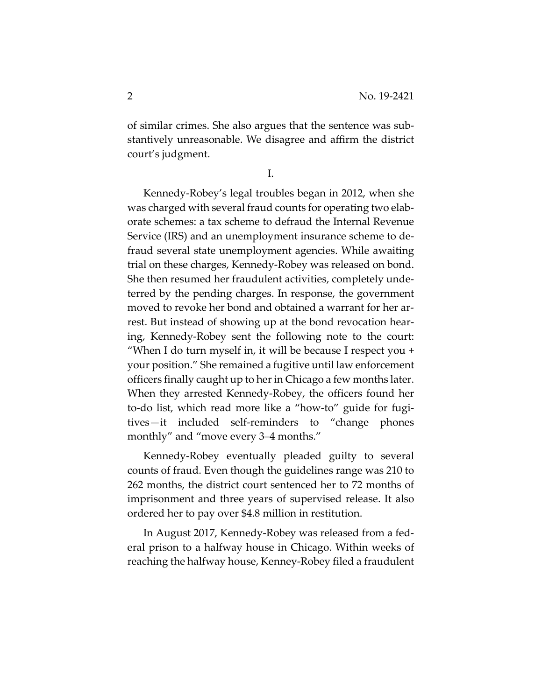of similar crimes. She also argues that the sentence was substantively unreasonable. We disagree and affirm the district court's judgment.

I.

Kennedy-Robey's legal troubles began in 2012, when she was charged with several fraud counts for operating two elaborate schemes: a tax scheme to defraud the Internal Revenue Service (IRS) and an unemployment insurance scheme to defraud several state unemployment agencies. While awaiting trial on these charges, Kennedy-Robey was released on bond. She then resumed her fraudulent activities, completely undeterred by the pending charges. In response, the government moved to revoke her bond and obtained a warrant for her arrest. But instead of showing up at the bond revocation hearing, Kennedy-Robey sent the following note to the court: "When I do turn myself in, it will be because I respect you + your position." She remained a fugitive until law enforcement officers finally caught up to her in Chicago a few months later. When they arrested Kennedy-Robey, the officers found her to-do list, which read more like a "how-to" guide for fugitives—it included self-reminders to "change phones monthly" and "move every 3–4 months."

Kennedy-Robey eventually pleaded guilty to several counts of fraud. Even though the guidelines range was 210 to 262 months, the district court sentenced her to 72 months of imprisonment and three years of supervised release. It also ordered her to pay over \$4.8 million in restitution.

In August 2017, Kennedy-Robey was released from a federal prison to a halfway house in Chicago. Within weeks of reaching the halfway house, Kenney-Robey filed a fraudulent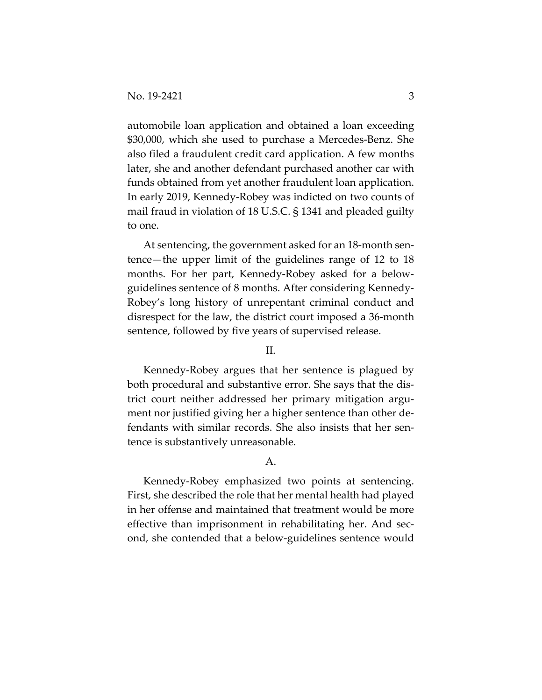automobile loan application and obtained a loan exceeding \$30,000, which she used to purchase a Mercedes-Benz. She also filed a fraudulent credit card application. A few months later, she and another defendant purchased another car with funds obtained from yet another fraudulent loan application. In early 2019, Kennedy-Robey was indicted on two counts of mail fraud in violation of 18 U.S.C. § 1341 and pleaded guilty to one.

At sentencing, the government asked for an 18-month sentence—the upper limit of the guidelines range of 12 to 18 months. For her part, Kennedy-Robey asked for a belowguidelines sentence of 8 months. After considering Kennedy-Robey's long history of unrepentant criminal conduct and disrespect for the law, the district court imposed a 36-month sentence, followed by five years of supervised release.

#### II.

Kennedy-Robey argues that her sentence is plagued by both procedural and substantive error. She says that the district court neither addressed her primary mitigation argument nor justified giving her a higher sentence than other defendants with similar records. She also insists that her sentence is substantively unreasonable.

### A.

Kennedy-Robey emphasized two points at sentencing. First, she described the role that her mental health had played in her offense and maintained that treatment would be more effective than imprisonment in rehabilitating her. And second, she contended that a below-guidelines sentence would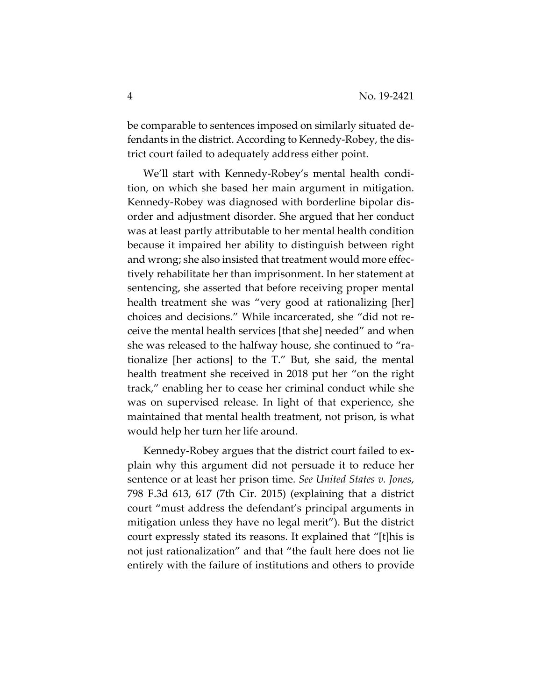be comparable to sentences imposed on similarly situated defendants in the district. According to Kennedy-Robey, the district court failed to adequately address either point.

We'll start with Kennedy-Robey's mental health condition, on which she based her main argument in mitigation. Kennedy-Robey was diagnosed with borderline bipolar disorder and adjustment disorder. She argued that her conduct was at least partly attributable to her mental health condition because it impaired her ability to distinguish between right and wrong; she also insisted that treatment would more effectively rehabilitate her than imprisonment. In her statement at sentencing, she asserted that before receiving proper mental health treatment she was "very good at rationalizing [her] choices and decisions." While incarcerated, she "did not receive the mental health services [that she] needed" and when she was released to the halfway house, she continued to "rationalize [her actions] to the T." But, she said, the mental health treatment she received in 2018 put her "on the right track," enabling her to cease her criminal conduct while she was on supervised release. In light of that experience, she maintained that mental health treatment, not prison, is what would help her turn her life around.

Kennedy-Robey argues that the district court failed to explain why this argument did not persuade it to reduce her sentence or at least her prison time. *See United States v. Jones*, 798 F.3d 613, 617 (7th Cir. 2015) (explaining that a district court "must address the defendant's principal arguments in mitigation unless they have no legal merit"). But the district court expressly stated its reasons. It explained that "[t]his is not just rationalization" and that "the fault here does not lie entirely with the failure of institutions and others to provide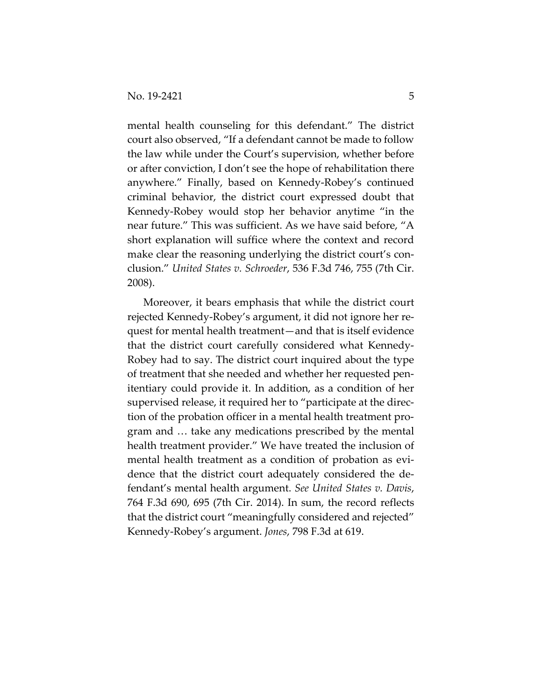mental health counseling for this defendant." The district court also observed, "If a defendant cannot be made to follow the law while under the Court's supervision, whether before or after conviction, I don't see the hope of rehabilitation there anywhere." Finally, based on Kennedy-Robey's continued criminal behavior, the district court expressed doubt that Kennedy-Robey would stop her behavior anytime "in the near future." This was sufficient. As we have said before, "A short explanation will suffice where the context and record make clear the reasoning underlying the district court's conclusion." *United States v. Schroeder*, 536 F.3d 746, 755 (7th Cir. 2008).

Moreover, it bears emphasis that while the district court rejected Kennedy-Robey's argument, it did not ignore her request for mental health treatment—and that is itself evidence that the district court carefully considered what Kennedy-Robey had to say. The district court inquired about the type of treatment that she needed and whether her requested penitentiary could provide it. In addition, as a condition of her supervised release, it required her to "participate at the direction of the probation officer in a mental health treatment program and … take any medications prescribed by the mental health treatment provider." We have treated the inclusion of mental health treatment as a condition of probation as evidence that the district court adequately considered the defendant's mental health argument. *See United States v. Davis*, 764 F.3d 690, 695 (7th Cir. 2014). In sum, the record reflects that the district court "meaningfully considered and rejected" Kennedy-Robey's argument. *Jones*, 798 F.3d at 619.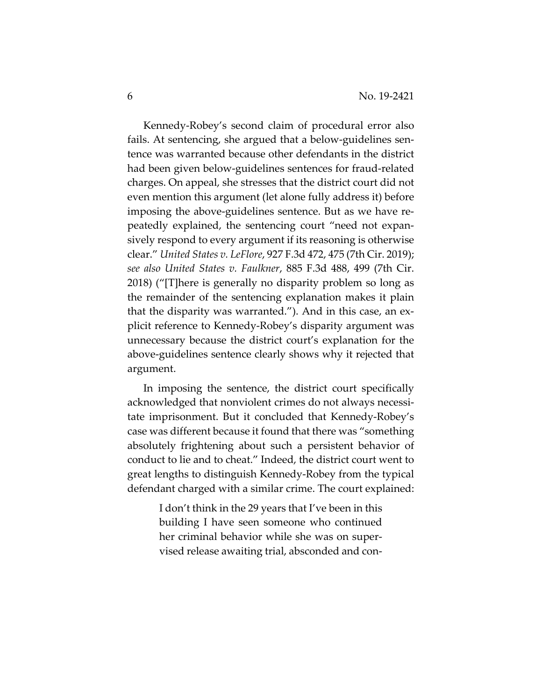Kennedy-Robey's second claim of procedural error also fails. At sentencing, she argued that a below-guidelines sentence was warranted because other defendants in the district had been given below-guidelines sentences for fraud-related charges. On appeal, she stresses that the district court did not even mention this argument (let alone fully address it) before imposing the above-guidelines sentence. But as we have repeatedly explained, the sentencing court "need not expansively respond to every argument if its reasoning is otherwise clear." *United States v. LeFlore*, 927 F.3d 472, 475 (7th Cir. 2019); *see also United States v. Faulkner*, 885 F.3d 488, 499 (7th Cir. 2018) ("[T]here is generally no disparity problem so long as the remainder of the sentencing explanation makes it plain that the disparity was warranted."). And in this case, an explicit reference to Kennedy-Robey's disparity argument was unnecessary because the district court's explanation for the above-guidelines sentence clearly shows why it rejected that argument.

In imposing the sentence, the district court specifically acknowledged that nonviolent crimes do not always necessitate imprisonment. But it concluded that Kennedy-Robey's case was different because it found that there was "something absolutely frightening about such a persistent behavior of conduct to lie and to cheat." Indeed, the district court went to great lengths to distinguish Kennedy-Robey from the typical defendant charged with a similar crime. The court explained:

> I don't think in the 29 years that I've been in this building I have seen someone who continued her criminal behavior while she was on supervised release awaiting trial, absconded and con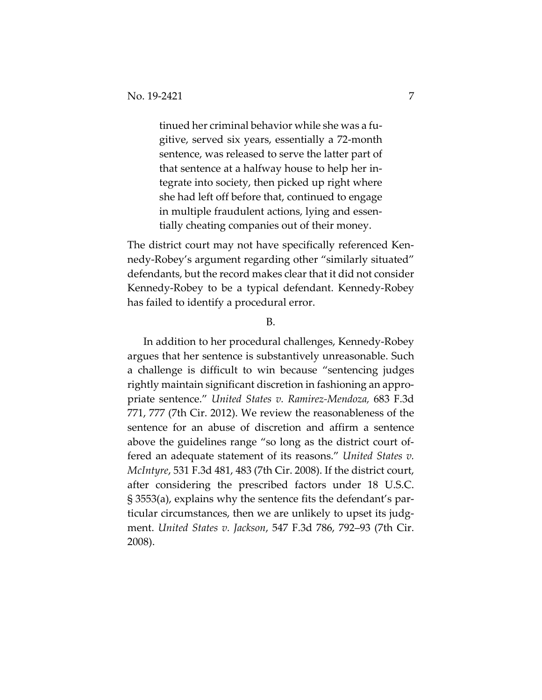tinued her criminal behavior while she was a fugitive, served six years, essentially a 72-month sentence, was released to serve the latter part of that sentence at a halfway house to help her integrate into society, then picked up right where she had left off before that, continued to engage in multiple fraudulent actions, lying and essentially cheating companies out of their money.

The district court may not have specifically referenced Kennedy-Robey's argument regarding other "similarly situated" defendants, but the record makes clear that it did not consider Kennedy-Robey to be a typical defendant. Kennedy-Robey has failed to identify a procedural error.

#### B.

In addition to her procedural challenges, Kennedy-Robey argues that her sentence is substantively unreasonable. Such a challenge is difficult to win because "sentencing judges rightly maintain significant discretion in fashioning an appropriate sentence." *United States v. Ramirez-Mendoza,* 683 F.3d 771, 777 (7th Cir. 2012). We review the reasonableness of the sentence for an abuse of discretion and affirm a sentence above the guidelines range "so long as the district court offered an adequate statement of its reasons." *United States v. McIntyre*, 531 F.3d 481, 483 (7th Cir. 2008). If the district court, after considering the prescribed factors under 18 U.S.C. § 3553(a), explains why the sentence fits the defendant's particular circumstances, then we are unlikely to upset its judgment. *United States v. Jackson*, 547 F.3d 786, 792–93 (7th Cir. 2008).